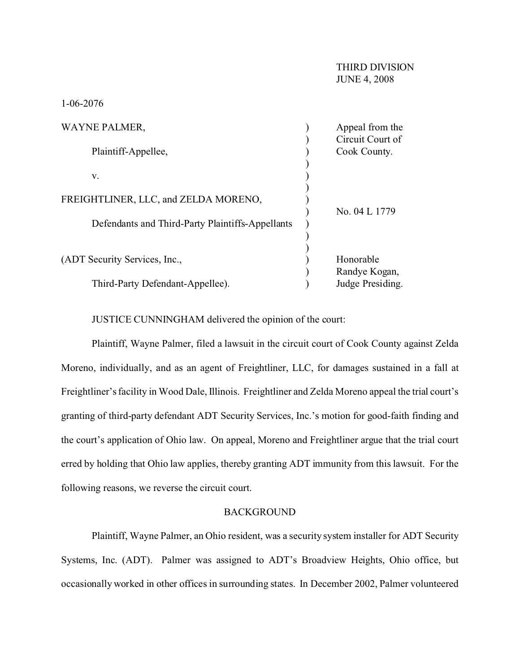| <b>WAYNE PALMER,</b>                             | Appeal from the  |
|--------------------------------------------------|------------------|
|                                                  | Circuit Court of |
| Plaintiff-Appellee,                              | Cook County.     |
|                                                  |                  |
| V.                                               |                  |
|                                                  |                  |
| FREIGHTLINER, LLC, and ZELDA MORENO,             |                  |
|                                                  | No. 04 L 1779    |
| Defendants and Third-Party Plaintiffs-Appellants |                  |
|                                                  |                  |
|                                                  |                  |
| (ADT Security Services, Inc.,                    | Honorable        |
|                                                  | Randye Kogan,    |
| Third-Party Defendant-Appellee).                 | Judge Presiding. |

JUSTICE CUNNINGHAM delivered the opinion of the court:

Plaintiff, Wayne Palmer, filed a lawsuit in the circuit court of Cook County against Zelda Moreno, individually, and as an agent of Freightliner, LLC, for damages sustained in a fall at Freightliner's facility in Wood Dale, Illinois. Freightliner and Zelda Moreno appeal the trial court's granting of third-party defendant ADT Security Services, Inc.'s motion for good-faith finding and the court's application of Ohio law. On appeal, Moreno and Freightliner argue that the trial court erred by holding that Ohio law applies, thereby granting ADT immunity from this lawsuit. For the following reasons, we reverse the circuit court.

## BACKGROUND

Plaintiff, Wayne Palmer, an Ohio resident, was a security system installer for ADT Security Systems, Inc. (ADT). Palmer was assigned to ADT's Broadview Heights, Ohio office, but occasionally worked in other offices in surrounding states. In December 2002, Palmer volunteered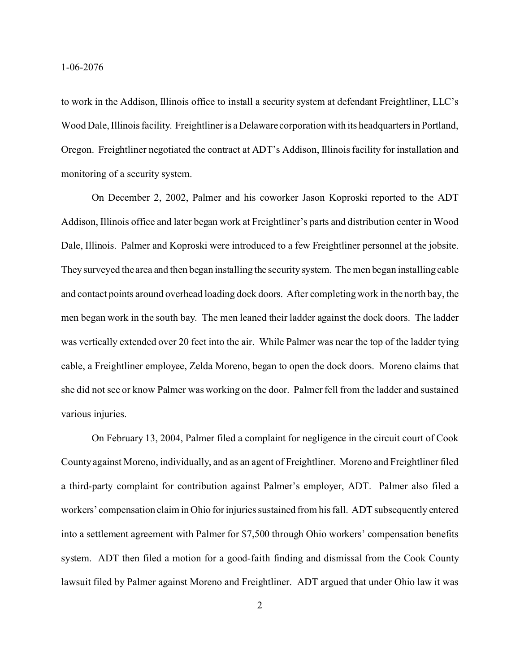to work in the Addison, Illinois office to install a security system at defendant Freightliner, LLC's Wood Dale, Illinois facility. Freightliner is a Delaware corporation with its headquarters in Portland, Oregon. Freightliner negotiated the contract at ADT's Addison, Illinois facility for installation and monitoring of a security system.

On December 2, 2002, Palmer and his coworker Jason Koproski reported to the ADT Addison, Illinois office and later began work at Freightliner's parts and distribution center in Wood Dale, Illinois. Palmer and Koproski were introduced to a few Freightliner personnel at the jobsite. They surveyed the area and then began installing the security system. The men began installing cable and contact points around overhead loading dock doors. After completing work in the north bay, the men began work in the south bay. The men leaned their ladder against the dock doors. The ladder was vertically extended over 20 feet into the air. While Palmer was near the top of the ladder tying cable, a Freightliner employee, Zelda Moreno, began to open the dock doors. Moreno claims that she did not see or know Palmer was working on the door. Palmer fell from the ladder and sustained various injuries.

On February 13, 2004, Palmer filed a complaint for negligence in the circuit court of Cook County against Moreno, individually, and as an agent of Freightliner. Moreno and Freightliner filed a third-party complaint for contribution against Palmer's employer, ADT. Palmer also filed a workers' compensation claim in Ohio for injuries sustained from his fall. ADT subsequently entered into a settlement agreement with Palmer for \$7,500 through Ohio workers' compensation benefits system. ADT then filed a motion for a good-faith finding and dismissal from the Cook County lawsuit filed by Palmer against Moreno and Freightliner. ADT argued that under Ohio law it was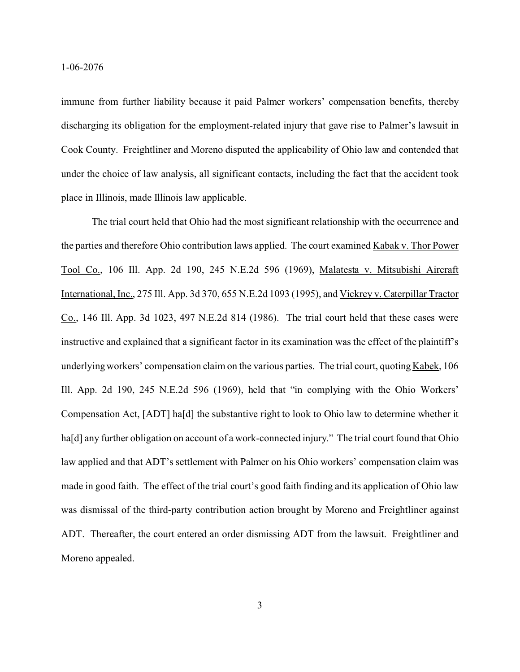immune from further liability because it paid Palmer workers' compensation benefits, thereby discharging its obligation for the employment-related injury that gave rise to Palmer's lawsuit in Cook County. Freightliner and Moreno disputed the applicability of Ohio law and contended that under the choice of law analysis, all significant contacts, including the fact that the accident took place in Illinois, made Illinois law applicable.

The trial court held that Ohio had the most significant relationship with the occurrence and the parties and therefore Ohio contribution laws applied. The court examined Kabak v. Thor Power Tool Co., 106 Ill. App. 2d 190, 245 N.E.2d 596 (1969), Malatesta v. Mitsubishi Aircraft International, Inc., 275 Ill. App. 3d 370, 655 N.E.2d 1093 (1995), and Vickrey v. Caterpillar Tractor Co., 146 Ill. App. 3d 1023, 497 N.E.2d 814 (1986). The trial court held that these cases were instructive and explained that a significant factor in its examination was the effect of the plaintiff's underlying workers' compensation claim on the various parties. The trial court, quoting  $Kabek$ , 106 Ill. App. 2d 190, 245 N.E.2d 596 (1969), held that "in complying with the Ohio Workers' Compensation Act, [ADT] ha[d] the substantive right to look to Ohio law to determine whether it ha[d] any further obligation on account of a work-connected injury." The trial court found that Ohio law applied and that ADT's settlement with Palmer on his Ohio workers' compensation claim was made in good faith. The effect of the trial court's good faith finding and its application of Ohio law was dismissal of the third-party contribution action brought by Moreno and Freightliner against ADT. Thereafter, the court entered an order dismissing ADT from the lawsuit. Freightliner and Moreno appealed.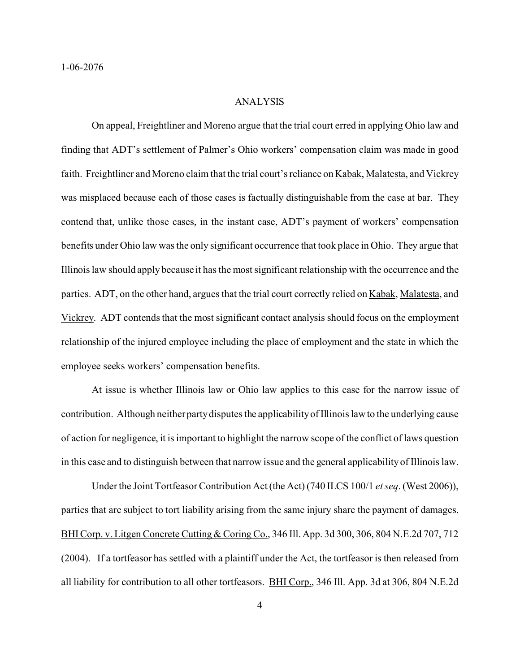## ANALYSIS

On appeal, Freightliner and Moreno argue that the trial court erred in applying Ohio law and finding that ADT's settlement of Palmer's Ohio workers' compensation claim was made in good faith. Freightliner and Moreno claim that the trial court's reliance on Kabak, Malatesta, and Vickrey was misplaced because each of those cases is factually distinguishable from the case at bar. They contend that, unlike those cases, in the instant case, ADT's payment of workers' compensation benefits under Ohio law was the only significant occurrence that took place in Ohio. They argue that Illinois law should apply because it has the most significant relationship with the occurrence and the parties. ADT, on the other hand, argues that the trial court correctly relied on Kabak, Malatesta, and Vickrey. ADT contends that the most significant contact analysis should focus on the employment relationship of the injured employee including the place of employment and the state in which the employee seeks workers' compensation benefits.

At issue is whether Illinois law or Ohio law applies to this case for the narrow issue of contribution. Although neither party disputes the applicability of Illinois law to the underlying cause of action for negligence, it is important to highlight the narrow scope of the conflict of laws question in this case and to distinguish between that narrow issue and the general applicability of Illinois law.

Under the Joint Tortfeasor Contribution Act (the Act) (740 ILCS 100/1 *etseq*. (West 2006)), parties that are subject to tort liability arising from the same injury share the payment of damages. BHI Corp. v. Litgen Concrete Cutting & Coring Co., 346 Ill. App. 3d 300, 306, 804 N.E.2d 707, 712 (2004). If a tortfeasor has settled with a plaintiff under the Act, the tortfeasor is then released from all liability for contribution to all other tortfeasors. BHI Corp., 346 Ill. App. 3d at 306, 804 N.E.2d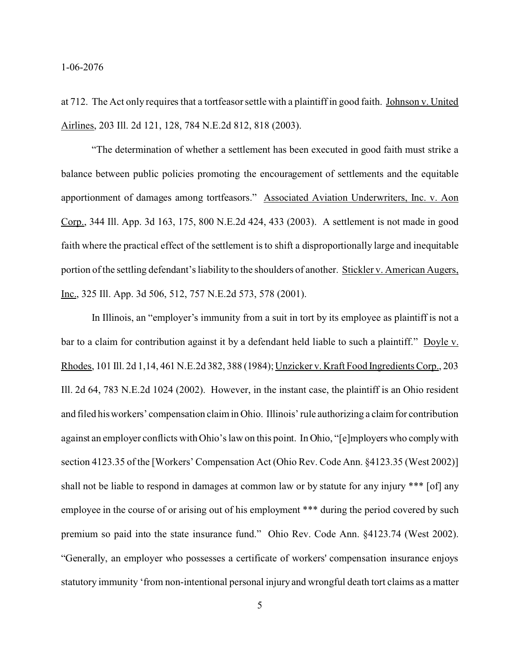at 712. The Act only requires that a tortfeasor settle with a plaintiff in good faith. Johnson v. United Airlines, 203 Ill. 2d 121, 128, 784 N.E.2d 812, 818 (2003).

"The determination of whether a settlement has been executed in good faith must strike a balance between public policies promoting the encouragement of settlements and the equitable apportionment of damages among tortfeasors." Associated Aviation Underwriters, Inc. v. Aon Corp., 344 Ill. App. 3d 163, 175, 800 N.E.2d 424, 433 (2003). A settlement is not made in good faith where the practical effect of the settlement is to shift a disproportionally large and inequitable portion of the settling defendant's liability to the shoulders of another. Stickler v. American Augers, Inc., 325 Ill. App. 3d 506, 512, 757 N.E.2d 573, 578 (2001).

In Illinois, an "employer's immunity from a suit in tort by its employee as plaintiff is not a bar to a claim for contribution against it by a defendant held liable to such a plaintiff." Doyle v. Rhodes, 101 Ill. 2d 1,14, 461 N.E.2d 382, 388 (1984); Unzicker v. Kraft Food Ingredients Corp., 203 Ill. 2d 64, 783 N.E.2d 1024 (2002). However, in the instant case, the plaintiff is an Ohio resident and filed his workers' compensation claim in Ohio. Illinois' rule authorizing a claim for contribution against an employer conflicts with Ohio's law on this point. In Ohio, "[e]mployers who comply with section 4123.35 of the [Workers' Compensation Act (Ohio Rev. Code Ann. §4123.35 (West 2002)] shall not be liable to respond in damages at common law or by statute for any injury \*\*\* [of] any employee in the course of or arising out of his employment \*\*\* during the period covered by such premium so paid into the state insurance fund." Ohio Rev. Code Ann. §4123.74 (West 2002). "Generally, an employer who possesses a certificate of workers' compensation insurance enjoys statutory immunity 'from non-intentional personal injury and wrongful death tort claims as a matter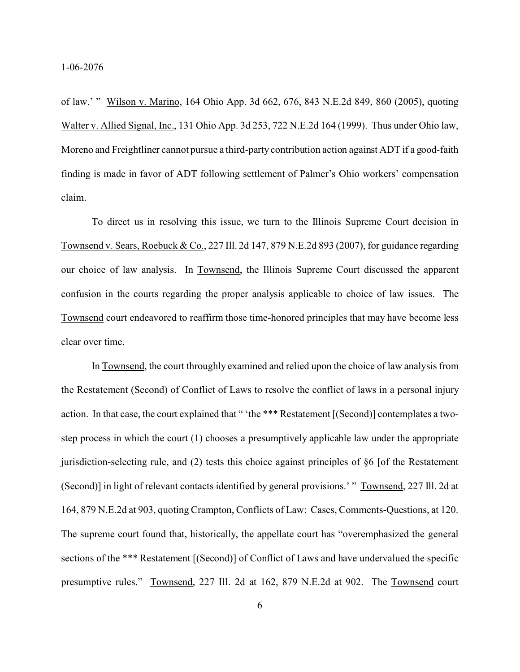of law.' " Wilson v. Marino, 164 Ohio App. 3d 662, 676, 843 N.E.2d 849, 860 (2005), quoting Walter v. Allied Signal, Inc., 131 Ohio App. 3d 253, 722 N.E.2d 164 (1999). Thus under Ohio law, Moreno and Freightliner cannot pursue a third-party contribution action against ADT if a good-faith finding is made in favor of ADT following settlement of Palmer's Ohio workers' compensation claim.

To direct us in resolving this issue, we turn to the Illinois Supreme Court decision in Townsend v. Sears, Roebuck & Co., 227 Ill. 2d 147, 879 N.E.2d 893 (2007), for guidance regarding our choice of law analysis. In Townsend, the Illinois Supreme Court discussed the apparent confusion in the courts regarding the proper analysis applicable to choice of law issues. The Townsend court endeavored to reaffirm those time-honored principles that may have become less clear over time.

In Townsend, the court throughly examined and relied upon the choice of law analysis from the Restatement (Second) of Conflict of Laws to resolve the conflict of laws in a personal injury action. In that case, the court explained that " 'the \*\*\* Restatement [(Second)] contemplates a twostep process in which the court (1) chooses a presumptively applicable law under the appropriate jurisdiction-selecting rule, and (2) tests this choice against principles of §6 [of the Restatement (Second)] in light of relevant contacts identified by general provisions.' " Townsend, 227 Ill. 2d at 164, 879 N.E.2d at 903, quoting Crampton, Conflicts of Law: Cases, Comments-Questions, at 120. The supreme court found that, historically, the appellate court has "overemphasized the general sections of the \*\*\* Restatement [(Second)] of Conflict of Laws and have undervalued the specific presumptive rules." Townsend, 227 Ill. 2d at 162, 879 N.E.2d at 902. The Townsend court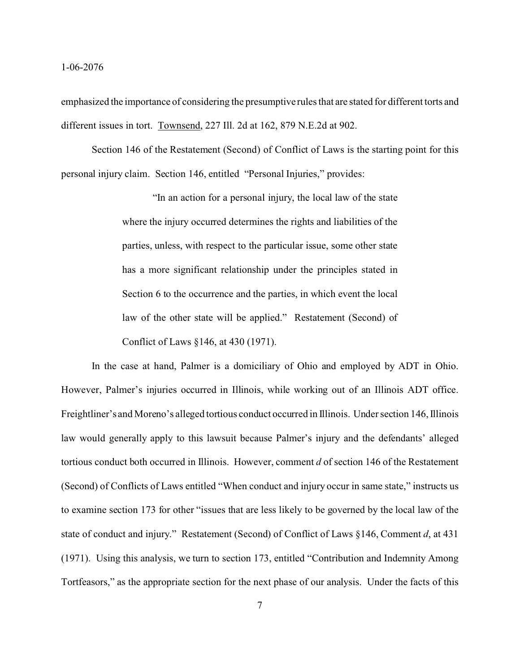emphasized the importance of considering the presumptive rules that are stated for different torts and different issues in tort. Townsend, 227 Ill. 2d at 162, 879 N.E.2d at 902.

Section 146 of the Restatement (Second) of Conflict of Laws is the starting point for this personal injury claim. Section 146, entitled "Personal Injuries," provides:

> "In an action for a personal injury, the local law of the state where the injury occurred determines the rights and liabilities of the parties, unless, with respect to the particular issue, some other state has a more significant relationship under the principles stated in Section 6 to the occurrence and the parties, in which event the local law of the other state will be applied." Restatement (Second) of Conflict of Laws §146, at 430 (1971).

In the case at hand, Palmer is a domiciliary of Ohio and employed by ADT in Ohio. However, Palmer's injuries occurred in Illinois, while working out of an Illinois ADT office. Freightliner's and Moreno's alleged tortious conduct occurred in Illinois. Under section 146, Illinois law would generally apply to this lawsuit because Palmer's injury and the defendants' alleged tortious conduct both occurred in Illinois. However, comment *d* of section 146 of the Restatement (Second) of Conflicts of Laws entitled "When conduct and injury occur in same state," instructs us to examine section 173 for other "issues that are less likely to be governed by the local law of the state of conduct and injury." Restatement (Second) of Conflict of Laws §146, Comment *d*, at 431 (1971). Using this analysis, we turn to section 173, entitled "Contribution and Indemnity Among Tortfeasors," as the appropriate section for the next phase of our analysis. Under the facts of this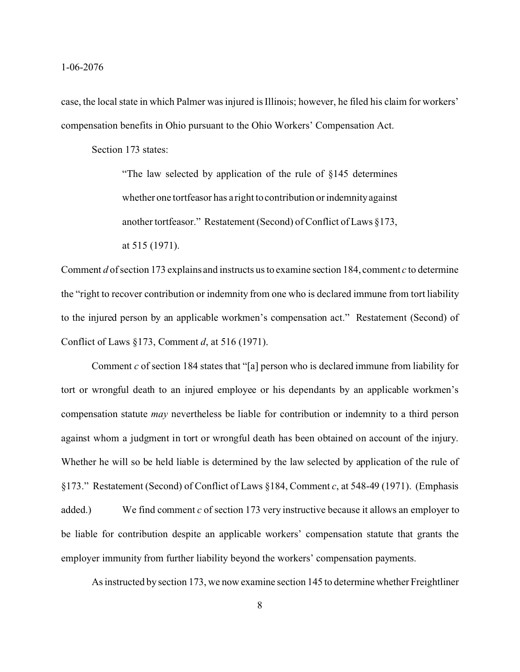case, the local state in which Palmer was injured is Illinois; however, he filed his claim for workers' compensation benefits in Ohio pursuant to the Ohio Workers' Compensation Act.

Section 173 states:

"The law selected by application of the rule of §145 determines whether one tortfeasor has a right to contribution or indemnity against another tortfeasor." Restatement (Second) of Conflict of Laws §173, at 515 (1971).

Comment *d* of section 173 explains and instructs us to examine section 184, comment *c* to determine the "right to recover contribution or indemnity from one who is declared immune from tort liability to the injured person by an applicable workmen's compensation act." Restatement (Second) of Conflict of Laws §173, Comment *d*, at 516 (1971).

Comment *c* of section 184 states that "[a] person who is declared immune from liability for tort or wrongful death to an injured employee or his dependants by an applicable workmen's compensation statute *may* nevertheless be liable for contribution or indemnity to a third person against whom a judgment in tort or wrongful death has been obtained on account of the injury. Whether he will so be held liable is determined by the law selected by application of the rule of §173." Restatement (Second) of Conflict of Laws §184, Comment *c*, at 548-49 (1971). (Emphasis added.) We find comment *c* of section 173 very instructive because it allows an employer to be liable for contribution despite an applicable workers' compensation statute that grants the employer immunity from further liability beyond the workers' compensation payments.

As instructed by section 173, we now examine section 145 to determine whether Freightliner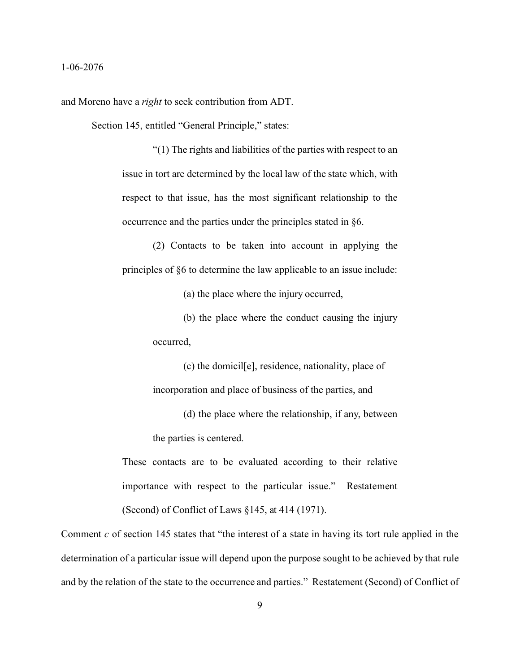and Moreno have a *right* to seek contribution from ADT.

Section 145, entitled "General Principle," states:

"(1) The rights and liabilities of the parties with respect to an issue in tort are determined by the local law of the state which, with respect to that issue, has the most significant relationship to the occurrence and the parties under the principles stated in §6.

(2) Contacts to be taken into account in applying the principles of §6 to determine the law applicable to an issue include:

(a) the place where the injury occurred,

(b) the place where the conduct causing the injury occurred,

(c) the domicil[e], residence, nationality, place of incorporation and place of business of the parties, and

(d) the place where the relationship, if any, between the parties is centered.

These contacts are to be evaluated according to their relative importance with respect to the particular issue." Restatement

(Second) of Conflict of Laws §145, at 414 (1971).

Comment *c* of section 145 states that "the interest of a state in having its tort rule applied in the determination of a particular issue will depend upon the purpose sought to be achieved by that rule and by the relation of the state to the occurrence and parties." Restatement (Second) of Conflict of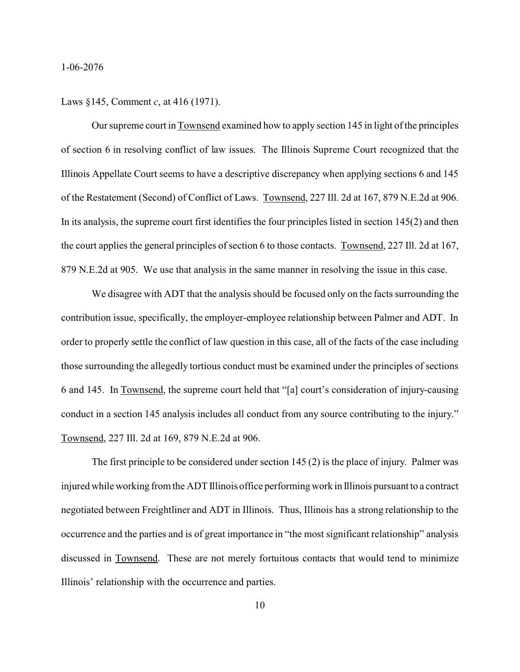Laws §145, Comment *c*, at 416 (1971).

Our supreme court in Townsend examined how to apply section 145 in light of the principles of section 6 in resolving conflict of law issues. The Illinois Supreme Court recognized that the Illinois Appellate Court seems to have a descriptive discrepancy when applying sections 6 and 145 of the Restatement (Second) of Conflict of Laws. Townsend, 227 Ill. 2d at 167, 879 N.E.2d at 906. In its analysis, the supreme court first identifies the four principles listed in section  $145(2)$  and then the court applies the general principles of section 6 to those contacts. Townsend, 227 Ill. 2d at 167, 879 N.E.2d at 905. We use that analysis in the same manner in resolving the issue in this case.

We disagree with ADT that the analysis should be focused only on the facts surrounding the contribution issue, specifically, the employer-employee relationship between Palmer and ADT. In order to properly settle the conflict of law question in this case, all of the facts of the case including those surrounding the allegedly tortious conduct must be examined under the principles of sections 6 and 145. In Townsend, the supreme court held that "[a] court's consideration of injury-causing conduct in a section 145 analysis includes all conduct from any source contributing to the injury." Townsend, 227 Ill. 2d at 169, 879 N.E.2d at 906.

The first principle to be considered under section 145 (2) is the place of injury. Palmer was injured while working from the ADT Illinois office performing work in Illinois pursuant to a contract negotiated between Freightliner and ADT in Illinois. Thus, Illinois has a strong relationship to the occurrence and the parties and is of great importance in "the most significant relationship" analysis discussed in Townsend. These are not merely fortuitous contacts that would tend to minimize Illinois' relationship with the occurrence and parties.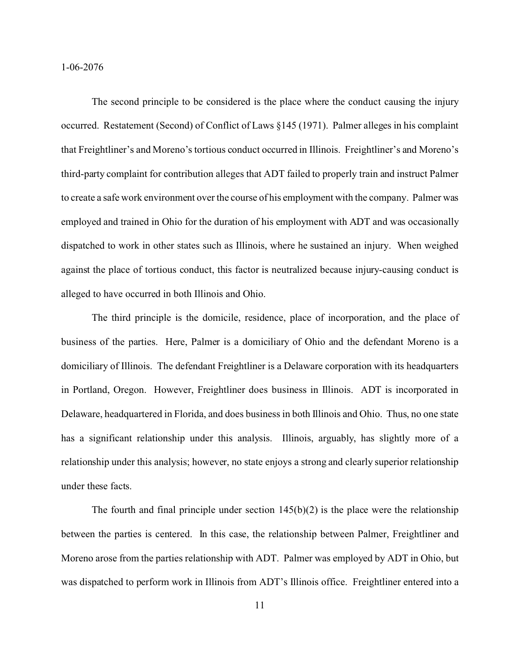The second principle to be considered is the place where the conduct causing the injury occurred. Restatement (Second) of Conflict of Laws §145 (1971). Palmer alleges in his complaint that Freightliner's and Moreno's tortious conduct occurred in Illinois. Freightliner's and Moreno's third-party complaint for contribution alleges that ADT failed to properly train and instruct Palmer to create a safe work environment over the course of his employment with the company. Palmer was employed and trained in Ohio for the duration of his employment with ADT and was occasionally dispatched to work in other states such as Illinois, where he sustained an injury. When weighed against the place of tortious conduct, this factor is neutralized because injury-causing conduct is alleged to have occurred in both Illinois and Ohio.

The third principle is the domicile, residence, place of incorporation, and the place of business of the parties. Here, Palmer is a domiciliary of Ohio and the defendant Moreno is a domiciliary of Illinois. The defendant Freightliner is a Delaware corporation with its headquarters in Portland, Oregon. However, Freightliner does business in Illinois. ADT is incorporated in Delaware, headquartered in Florida, and does business in both Illinois and Ohio. Thus, no one state has a significant relationship under this analysis. Illinois, arguably, has slightly more of a relationship under this analysis; however, no state enjoys a strong and clearly superior relationship under these facts.

The fourth and final principle under section  $145(b)(2)$  is the place were the relationship between the parties is centered. In this case, the relationship between Palmer, Freightliner and Moreno arose from the parties relationship with ADT. Palmer was employed by ADT in Ohio, but was dispatched to perform work in Illinois from ADT's Illinois office. Freightliner entered into a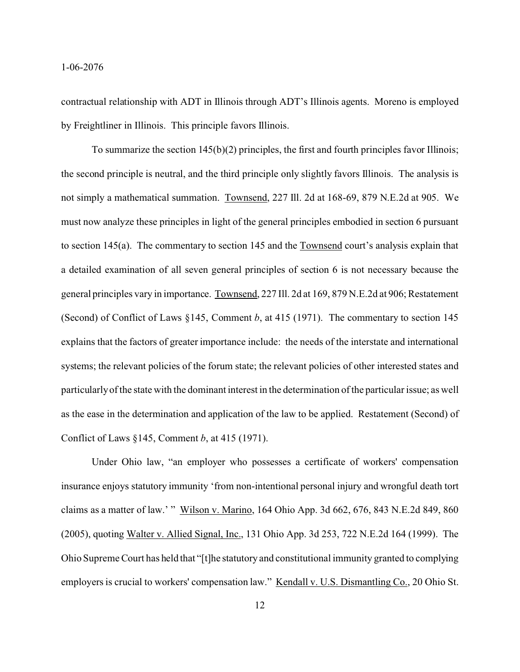contractual relationship with ADT in Illinois through ADT's Illinois agents. Moreno is employed by Freightliner in Illinois. This principle favors Illinois.

To summarize the section 145(b)(2) principles, the first and fourth principles favor Illinois; the second principle is neutral, and the third principle only slightly favors Illinois. The analysis is not simply a mathematical summation. Townsend, 227 Ill. 2d at 168-69, 879 N.E.2d at 905. We must now analyze these principles in light of the general principles embodied in section 6 pursuant to section 145(a). The commentary to section 145 and the Townsend court's analysis explain that a detailed examination of all seven general principles of section 6 is not necessary because the general principles vary in importance. Townsend, 227 Ill. 2d at 169, 879 N.E.2d at 906; Restatement (Second) of Conflict of Laws §145, Comment *b*, at 415 (1971). The commentary to section 145 explains that the factors of greater importance include: the needs of the interstate and international systems; the relevant policies of the forum state; the relevant policies of other interested states and particularly of the state with the dominant interest in the determination of the particular issue; as well as the ease in the determination and application of the law to be applied. Restatement (Second) of Conflict of Laws §145, Comment *b*, at 415 (1971).

Under Ohio law, "an employer who possesses a certificate of workers' compensation insurance enjoys statutory immunity 'from non-intentional personal injury and wrongful death tort claims as a matter of law.' " Wilson v. Marino, 164 Ohio App. 3d 662, 676, 843 N.E.2d 849, 860 (2005), quoting Walter v. Allied Signal, Inc., 131 Ohio App. 3d 253, 722 N.E.2d 164 (1999). The Ohio Supreme Court has held that "[t]he statutory and constitutional immunity granted to complying employers is crucial to workers' compensation law." Kendall v. U.S. Dismantling Co., 20 Ohio St.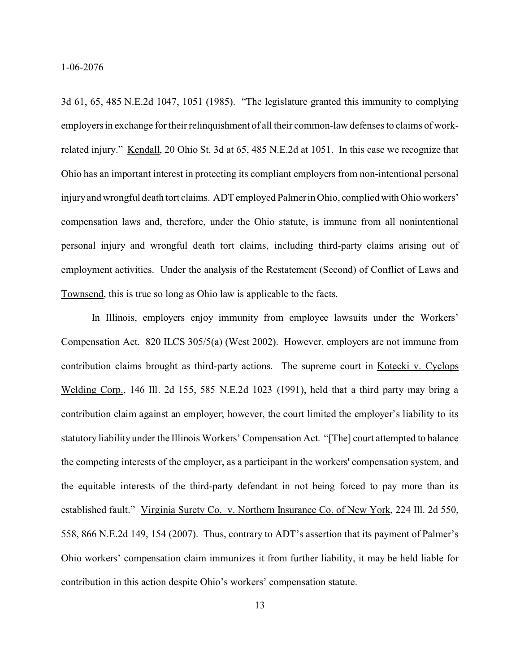3d 61, 65, 485 N.E.2d 1047, 1051 (1985). "The legislature granted this immunity to complying employers in exchange for their relinquishment of all their common-law defenses to claims of workrelated injury." Kendall, 20 Ohio St. 3d at 65, 485 N.E.2d at 1051. In this case we recognize that Ohio has an important interest in protecting its compliant employers from non-intentional personal injury and wrongful death tort claims. ADT employed Palmer in Ohio, complied with Ohio workers' compensation laws and, therefore, under the Ohio statute, is immune from all nonintentional personal injury and wrongful death tort claims, including third-party claims arising out of employment activities. Under the analysis of the Restatement (Second) of Conflict of Laws and Townsend, this is true so long as Ohio law is applicable to the facts.

In Illinois, employers enjoy immunity from employee lawsuits under the Workers' Compensation Act. 820 ILCS 305/5(a) (West 2002). However, employers are not immune from contribution claims brought as third-party actions. The supreme court in Kotecki v. Cyclops Welding Corp., 146 Ill. 2d 155, 585 N.E.2d 1023 (1991), held that a third party may bring a contribution claim against an employer; however, the court limited the employer's liability to its statutory liability under the Illinois Workers' Compensation Act. "[The] court attempted to balance the competing interests of the employer, as a participant in the workers' compensation system, and the equitable interests of the third-party defendant in not being forced to pay more than its established fault." Virginia Surety Co. v. Northern Insurance Co. of New York, 224 Ill. 2d 550, 558, 866 N.E.2d 149, 154 (2007). Thus, contrary to ADT's assertion that its payment of Palmer's Ohio workers' compensation claim immunizes it from further liability, it may be held liable for contribution in this action despite Ohio's workers' compensation statute.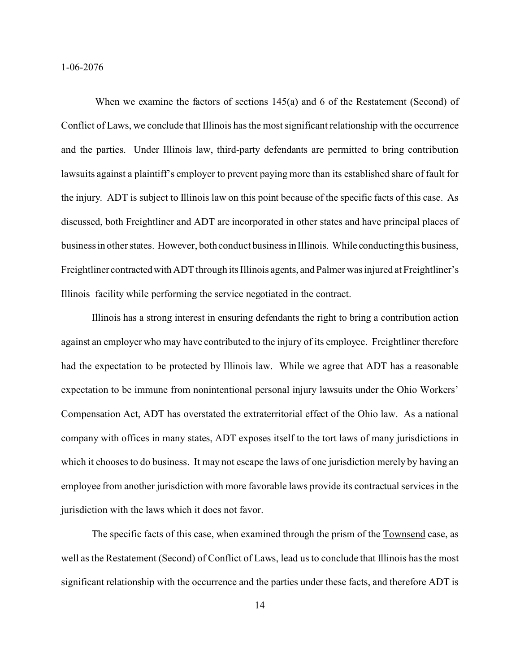When we examine the factors of sections 145(a) and 6 of the Restatement (Second) of Conflict of Laws, we conclude that Illinois has the most significant relationship with the occurrence and the parties. Under Illinois law, third-party defendants are permitted to bring contribution lawsuits against a plaintiff's employer to prevent paying more than its established share of fault for the injury. ADT is subject to Illinois law on this point because of the specific facts of this case. As discussed, both Freightliner and ADT are incorporated in other states and have principal places of business in other states. However, both conduct business in Illinois. While conducting this business, Freightliner contractedwith ADT through its Illinois agents, and Palmer was injured at Freightliner's Illinois facility while performing the service negotiated in the contract.

Illinois has a strong interest in ensuring defendants the right to bring a contribution action against an employer who may have contributed to the injury of its employee. Freightliner therefore had the expectation to be protected by Illinois law. While we agree that ADT has a reasonable expectation to be immune from nonintentional personal injury lawsuits under the Ohio Workers' Compensation Act, ADT has overstated the extraterritorial effect of the Ohio law. As a national company with offices in many states, ADT exposes itself to the tort laws of many jurisdictions in which it chooses to do business. It may not escape the laws of one jurisdiction merely by having an employee from another jurisdiction with more favorable laws provide its contractual services in the jurisdiction with the laws which it does not favor.

The specific facts of this case, when examined through the prism of the Townsend case, as well as the Restatement (Second) of Conflict of Laws, lead us to conclude that Illinois has the most significant relationship with the occurrence and the parties under these facts, and therefore ADT is